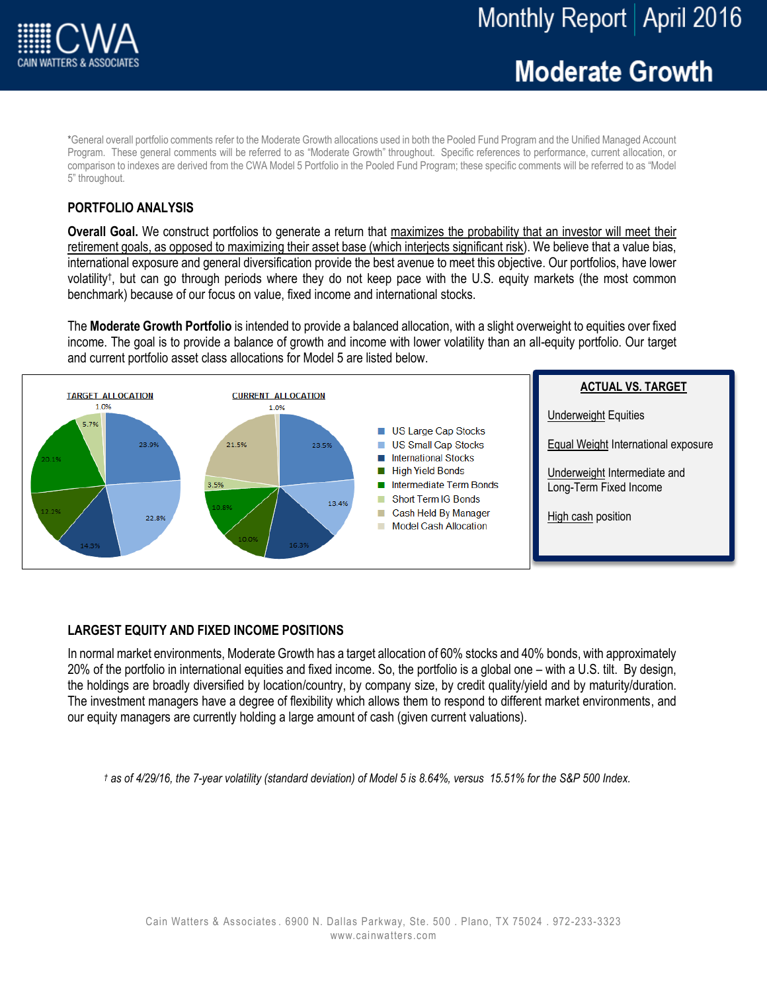# **Moderate Growth**

\*General overall portfolio comments refer to the Moderate Growth allocations used in both the Pooled Fund Program and the Unified Managed Account Program. These general comments will be referred to as "Moderate Growth" throughout. Specific references to performance, current allocation, or comparison to indexes are derived from the CWA Model 5 Portfolio in the Pooled Fund Program; these specific comments will be referred to as "Model 5" throughout.

# **PORTFOLIO ANALYSIS**

**Overall Goal.** We construct portfolios to generate a return that maximizes the probability that an investor will meet their retirement goals, as opposed to maximizing their asset base (which interjects significant risk). We believe that a value bias, international exposure and general diversification provide the best avenue to meet this objective. Our portfolios, have lower volatility† , but can go through periods where they do not keep pace with the U.S. equity markets (the most common benchmark) because of our focus on value, fixed income and international stocks.

The **Moderate Growth Portfolio** is intended to provide a balanced allocation, with a slight overweight to equities over fixed income. The goal is to provide a balance of growth and income with lower volatility than an all-equity portfolio. Our target and current portfolio asset class allocations for Model 5 are listed below.



## **LARGEST EQUITY AND FIXED INCOME POSITIONS**

In normal market environments, Moderate Growth has a target allocation of 60% stocks and 40% bonds, with approximately 20% of the portfolio in international equities and fixed income. So, the portfolio is a global one – with a U.S. tilt. By design, the holdings are broadly diversified by location/country, by company size, by credit quality/yield and by maturity/duration. The investment managers have a degree of flexibility which allows them to respond to different market environments, and our equity managers are currently holding a large amount of cash (given current valuations).

*† as of 4/29/16, the 7-year volatility (standard deviation) of Model 5 is 8.64%, versus 15.51% for the S&P 500 Index.*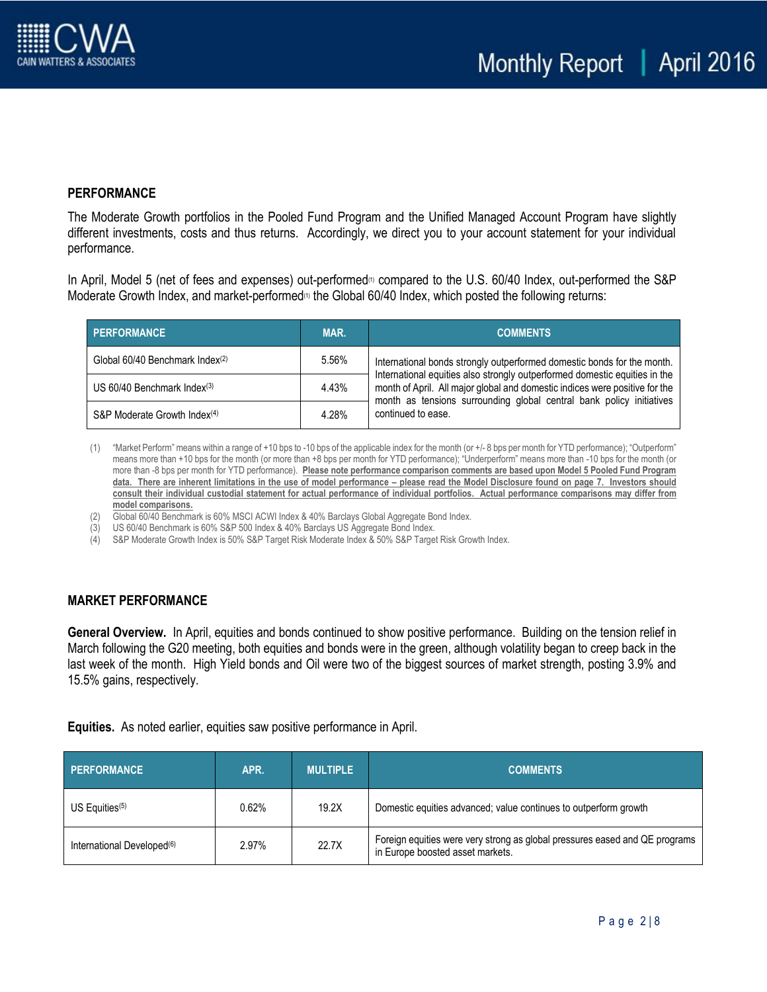## **PERFORMANCE**

The Moderate Growth portfolios in the Pooled Fund Program and the Unified Managed Account Program have slightly different investments, costs and thus returns. Accordingly, we direct you to your account statement for your individual performance.

In April, Model 5 (net of fees and expenses) out-performed<sup>®</sup> compared to the U.S. 60/40 Index, out-performed the S&P Moderate Growth Index, and market-performed<sup>(1)</sup> the Global 60/40 Index, which posted the following returns:

| <b>PERFORMANCE</b>                        | MAR.  | <b>COMMENTS</b>                                                                                                                                                                                                                   |
|-------------------------------------------|-------|-----------------------------------------------------------------------------------------------------------------------------------------------------------------------------------------------------------------------------------|
| Global 60/40 Benchmark Index(2)           | 5.56% | International bonds strongly outperformed domestic bonds for the month.                                                                                                                                                           |
| US $60/40$ Benchmark Index <sup>(3)</sup> | 4.43% | International equities also strongly outperformed domestic equities in the<br>month of April. All major global and domestic indices were positive for the<br>month as tensions surrounding global central bank policy initiatives |
| S&P Moderate Growth Index <sup>(4)</sup>  | 4.28% | continued to ease.                                                                                                                                                                                                                |

(1) "Market Perform" means within a range of +10 bps to -10 bps of the applicable index for the month (or +/- 8 bps per month for YTD performance); "Outperform" means more than +10 bps for the month (or more than +8 bps per month for YTD performance); "Underperform" means more than -10 bps for the month (or more than -8 bps per month for YTD performance). **Please note performance comparison comments are based upon Model 5 Pooled Fund Program data. There are inherent limitations in the use of model performance – please read the Model Disclosure found on page 7. Investors should consult their individual custodial statement for actual performance of individual portfolios. Actual performance comparisons may differ from model comparisons.** 

(2) Global 60/40 Benchmark is 60% MSCI ACWI Index & 40% Barclays Global Aggregate Bond Index.

(3) US 60/40 Benchmark is 60% S&P 500 Index & 40% Barclays US Aggregate Bond Index.

(4) S&P Moderate Growth Index is 50% S&P Target Risk Moderate Index & 50% S&P Target Risk Growth Index.

## **MARKET PERFORMANCE**

**General Overview.** In April, equities and bonds continued to show positive performance. Building on the tension relief in March following the G20 meeting, both equities and bonds were in the green, although volatility began to creep back in the last week of the month. High Yield bonds and Oil were two of the biggest sources of market strength, posting 3.9% and 15.5% gains, respectively.

**Equities.** As noted earlier, equities saw positive performance in April.

| <b>PERFORMANCE</b>                     | APR.  | <b>MULTIPLE</b> | <b>COMMENTS</b>                                                                                                 |
|----------------------------------------|-------|-----------------|-----------------------------------------------------------------------------------------------------------------|
| US Equities $(5)$                      | 0.62% | 19.2X           | Domestic equities advanced; value continues to outperform growth                                                |
| International Developed <sup>(6)</sup> | 2.97% | 22.7X           | Foreign equities were very strong as global pressures eased and QE programs<br>in Europe boosted asset markets. |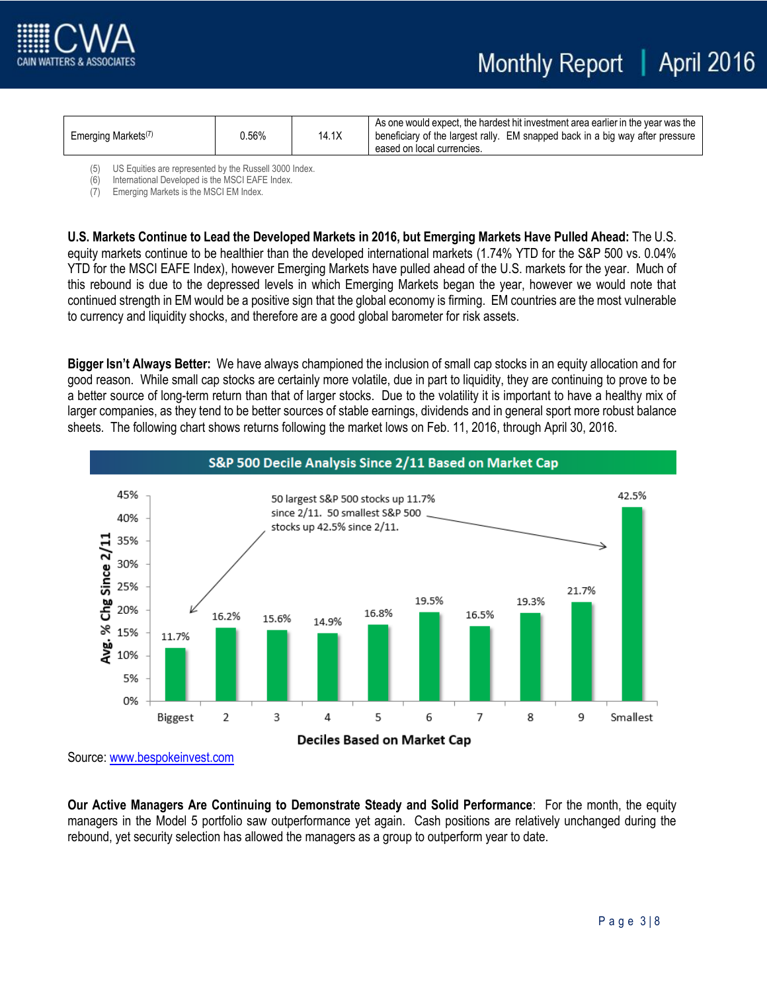



| Emerging Markets <sup>(7)</sup> | 0.56% | 14.1X | As one would expect, the hardest hit investment area earlier in the year was the<br>beneficiary of the largest rally. EM snapped back in a big way after pressure<br>eased on local currencies. |
|---------------------------------|-------|-------|-------------------------------------------------------------------------------------------------------------------------------------------------------------------------------------------------|
|                                 |       |       |                                                                                                                                                                                                 |

(5) US Equities are represented by the Russell 3000 Index.

(6) International Developed is the MSCI EAFE Index.

(7) Emerging Markets is the MSCI EM Index.

**U.S. Markets Continue to Lead the Developed Markets in 2016, but Emerging Markets Have Pulled Ahead:** The U.S. equity markets continue to be healthier than the developed international markets (1.74% YTD for the S&P 500 vs. 0.04% YTD for the MSCI EAFE Index), however Emerging Markets have pulled ahead of the U.S. markets for the year. Much of this rebound is due to the depressed levels in which Emerging Markets began the year, however we would note that continued strength in EM would be a positive sign that the global economy is firming. EM countries are the most vulnerable to currency and liquidity shocks, and therefore are a good global barometer for risk assets.

**Bigger Isn't Always Better:** We have always championed the inclusion of small cap stocks in an equity allocation and for good reason. While small cap stocks are certainly more volatile, due in part to liquidity, they are continuing to prove to be a better source of long-term return than that of larger stocks. Due to the volatility it is important to have a healthy mix of larger companies, as they tend to be better sources of stable earnings, dividends and in general sport more robust balance sheets. The following chart shows returns following the market lows on Feb. 11, 2016, through April 30, 2016.



 Source[: www.bespokeinvest.com](http://www.bespokeinvest.com/)

**Our Active Managers Are Continuing to Demonstrate Steady and Solid Performance**: For the month, the equity managers in the Model 5 portfolio saw outperformance yet again. Cash positions are relatively unchanged during the rebound, yet security selection has allowed the managers as a group to outperform year to date.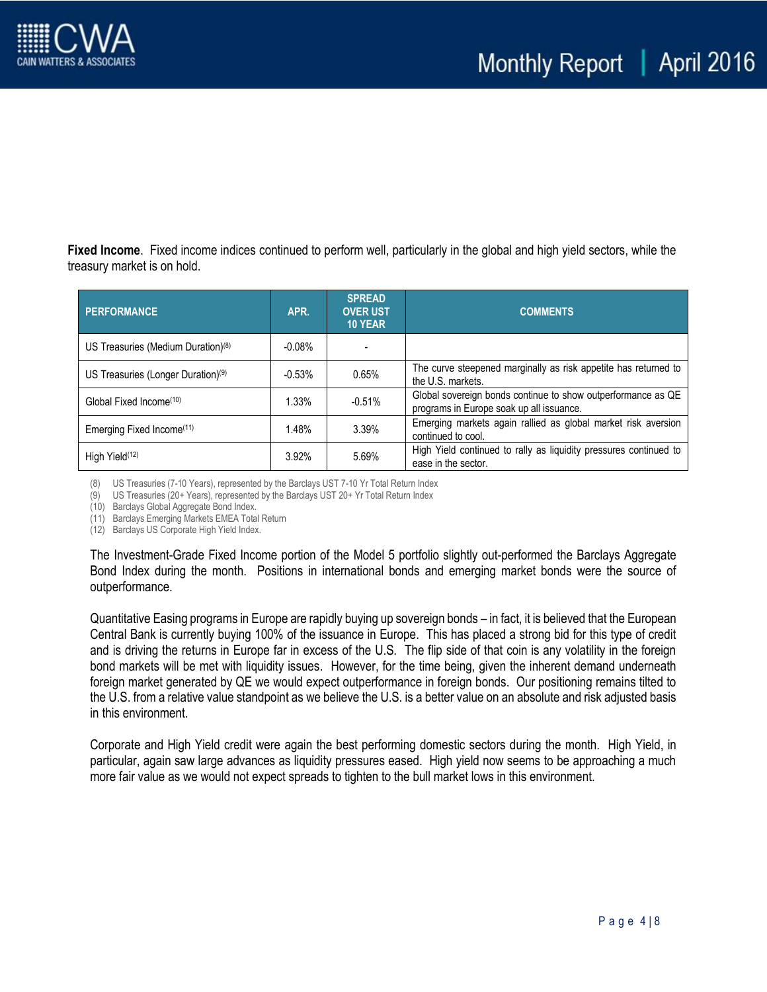

**Fixed Income**. Fixed income indices continued to perform well, particularly in the global and high yield sectors, while the treasury market is on hold.

| <b>PERFORMANCE</b>                             | APR.      | <b>SPREAD</b><br><b>OVER UST</b><br><b>10 YEAR</b> | <b>COMMENTS</b>                                                                                          |
|------------------------------------------------|-----------|----------------------------------------------------|----------------------------------------------------------------------------------------------------------|
| US Treasuries (Medium Duration) <sup>(8)</sup> | $-0.08\%$ |                                                    |                                                                                                          |
| US Treasuries (Longer Duration) <sup>(9)</sup> | $-0.53%$  | 0.65%                                              | The curve steepened marginally as risk appetite has returned to<br>the U.S. markets.                     |
| Global Fixed Income <sup>(10)</sup>            | 1.33%     | $-0.51%$                                           | Global sovereign bonds continue to show outperformance as QE<br>programs in Europe soak up all issuance. |
| Emerging Fixed Income <sup>(11)</sup>          | 1.48%     | 3.39%                                              | Emerging markets again rallied as global market risk aversion<br>continued to cool.                      |
| High Yield <sup>(12)</sup>                     | 3.92%     | 5.69%                                              | High Yield continued to rally as liquidity pressures continued to<br>ease in the sector.                 |

(8) US Treasuries (7-10 Years), represented by the Barclays UST 7-10 Yr Total Return Index

(9) US Treasuries (20+ Years), represented by the Barclays UST 20+ Yr Total Return Index

(10) Barclays Global Aggregate Bond Index.

(11) Barclays Emerging Markets EMEA Total Return

(12) Barclays US Corporate High Yield Index.

The Investment-Grade Fixed Income portion of the Model 5 portfolio slightly out-performed the Barclays Aggregate Bond Index during the month. Positions in international bonds and emerging market bonds were the source of outperformance.

Quantitative Easing programs in Europe are rapidly buying up sovereign bonds – in fact, it is believed that the European Central Bank is currently buying 100% of the issuance in Europe. This has placed a strong bid for this type of credit and is driving the returns in Europe far in excess of the U.S. The flip side of that coin is any volatility in the foreign bond markets will be met with liquidity issues. However, for the time being, given the inherent demand underneath foreign market generated by QE we would expect outperformance in foreign bonds. Our positioning remains tilted to the U.S. from a relative value standpoint as we believe the U.S. is a better value on an absolute and risk adjusted basis in this environment.

Corporate and High Yield credit were again the best performing domestic sectors during the month. High Yield, in particular, again saw large advances as liquidity pressures eased. High yield now seems to be approaching a much more fair value as we would not expect spreads to tighten to the bull market lows in this environment.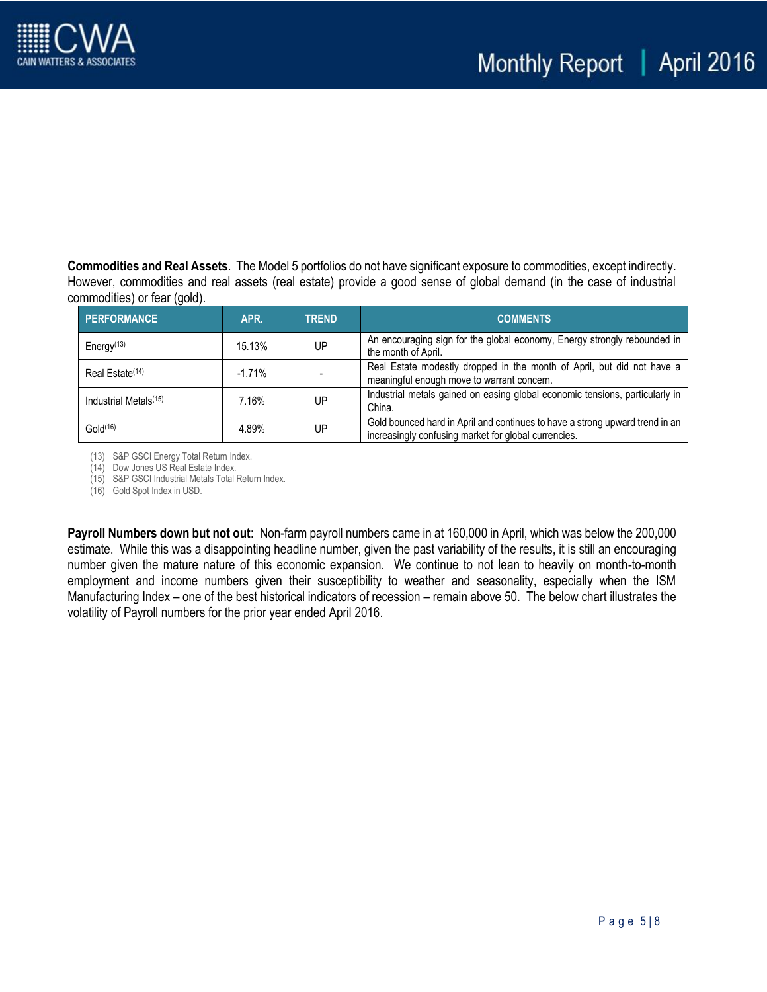

**Commodities and Real Assets**. The Model 5 portfolios do not have significant exposure to commodities, except indirectly. However, commodities and real assets (real estate) provide a good sense of global demand (in the case of industrial commodities) or fear (gold).

| <b>PERFORMANCE</b>                | APR.     | <b>TREND</b> | <b>COMMENTS</b>                                                                                                                      |
|-----------------------------------|----------|--------------|--------------------------------------------------------------------------------------------------------------------------------------|
| Energy <sup>(13)</sup>            | 15.13%   | UP           | An encouraging sign for the global economy, Energy strongly rebounded in<br>the month of April.                                      |
| Real Estate <sup>(14)</sup>       | $-1.71%$ |              | Real Estate modestly dropped in the month of April, but did not have a<br>meaningful enough move to warrant concern.                 |
| Industrial Metals <sup>(15)</sup> | 7.16%    | UP           | Industrial metals gained on easing global economic tensions, particularly in<br>China.                                               |
| Gold <sup>(16)</sup>              | 4.89%    | UP           | Gold bounced hard in April and continues to have a strong upward trend in an<br>increasingly confusing market for global currencies. |

(13) S&P GSCI Energy Total Return Index.

(14) Dow Jones US Real Estate Index.

(15) S&P GSCI Industrial Metals Total Return Index.

(16) Gold Spot Index in USD.

**Payroll Numbers down but not out:** Non-farm payroll numbers came in at 160,000 in April, which was below the 200,000 estimate. While this was a disappointing headline number, given the past variability of the results, it is still an encouraging number given the mature nature of this economic expansion. We continue to not lean to heavily on month-to-month employment and income numbers given their susceptibility to weather and seasonality, especially when the ISM Manufacturing Index – one of the best historical indicators of recession – remain above 50. The below chart illustrates the volatility of Payroll numbers for the prior year ended April 2016.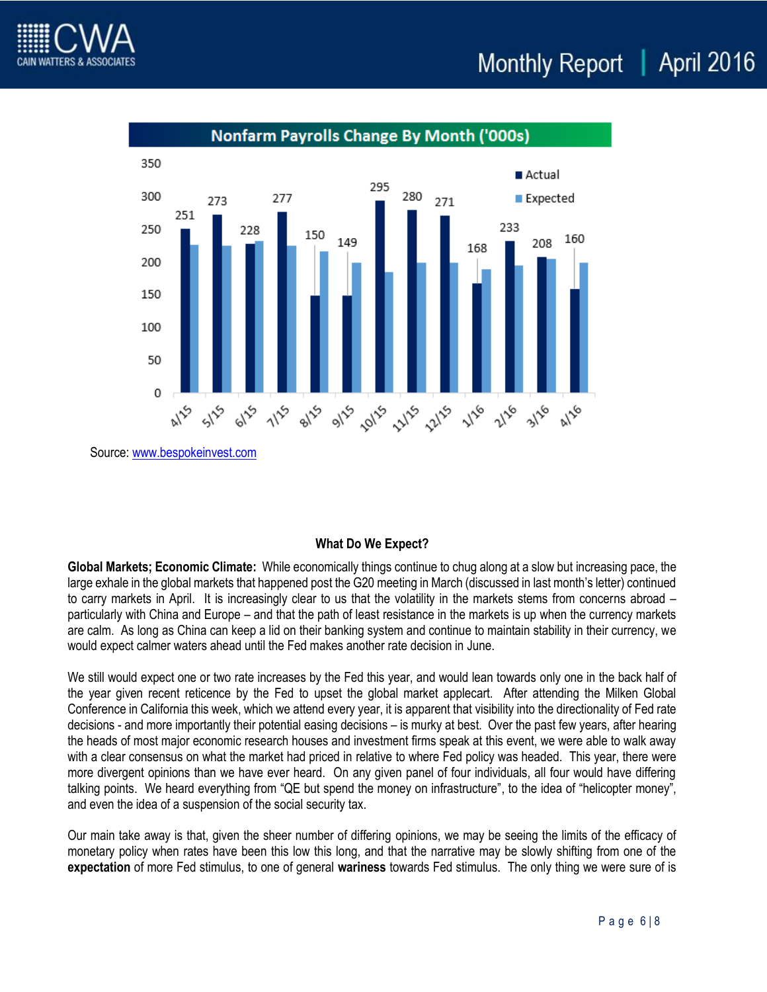



Source[: www.bespokeinvest.com](http://www.bespokeinvest.com/)

## **What Do We Expect?**

**Global Markets; Economic Climate:** While economically things continue to chug along at a slow but increasing pace, the large exhale in the global markets that happened post the G20 meeting in March (discussed in last month's letter) continued to carry markets in April. It is increasingly clear to us that the volatility in the markets stems from concerns abroad – particularly with China and Europe – and that the path of least resistance in the markets is up when the currency markets are calm. As long as China can keep a lid on their banking system and continue to maintain stability in their currency, we would expect calmer waters ahead until the Fed makes another rate decision in June.

We still would expect one or two rate increases by the Fed this year, and would lean towards only one in the back half of the year given recent reticence by the Fed to upset the global market applecart. After attending the Milken Global Conference in California this week, which we attend every year, it is apparent that visibility into the directionality of Fed rate decisions - and more importantly their potential easing decisions – is murky at best. Over the past few years, after hearing the heads of most major economic research houses and investment firms speak at this event, we were able to walk away with a clear consensus on what the market had priced in relative to where Fed policy was headed. This year, there were more divergent opinions than we have ever heard. On any given panel of four individuals, all four would have differing talking points. We heard everything from "QE but spend the money on infrastructure", to the idea of "helicopter money", and even the idea of a suspension of the social security tax.

Our main take away is that, given the sheer number of differing opinions, we may be seeing the limits of the efficacy of monetary policy when rates have been this low this long, and that the narrative may be slowly shifting from one of the **expectation** of more Fed stimulus, to one of general **wariness** towards Fed stimulus. The only thing we were sure of is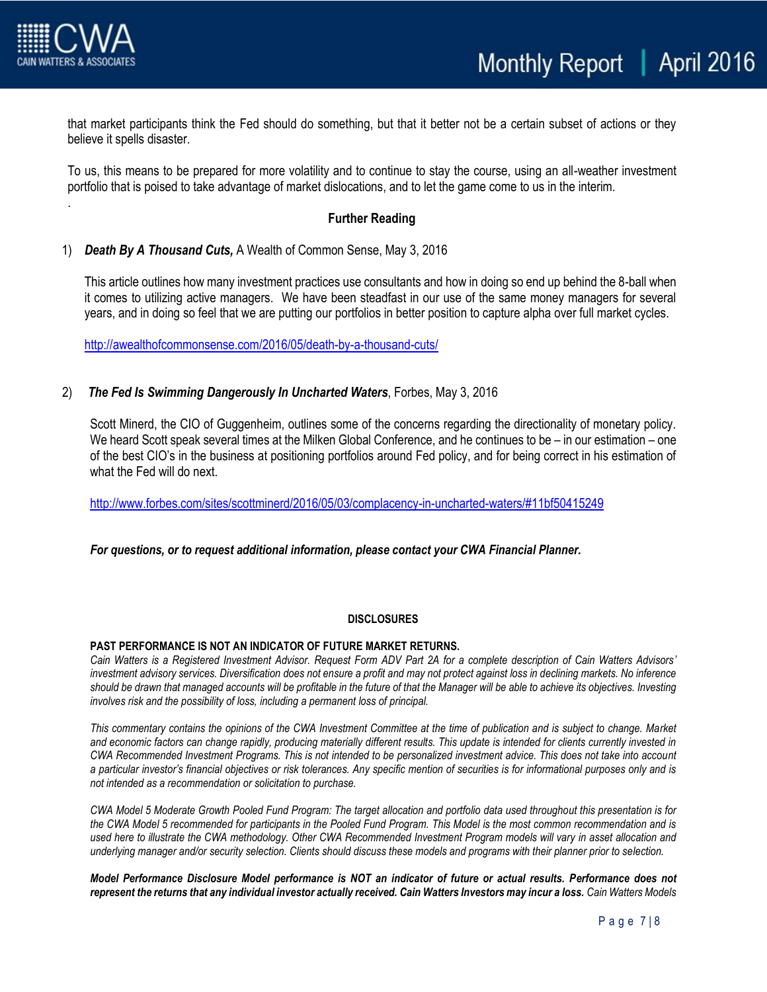

.

that market participants think the Fed should do something, but that it better not be a certain subset of actions or they believe it spells disaster.

To us, this means to be prepared for more volatility and to continue to stay the course, using an all-weather investment portfolio that is poised to take advantage of market dislocations, and to let the game come to us in the interim.

### **Further Reading**

#### 1) *Death By A Thousand Cuts,* A Wealth of Common Sense, May 3, 2016

This article outlines how many investment practices use consultants and how in doing so end up behind the 8-ball when it comes to utilizing active managers. We have been steadfast in our use of the same money managers for several years, and in doing so feel that we are putting our portfolios in better position to capture alpha over full market cycles.

<http://awealthofcommonsense.com/2016/05/death-by-a-thousand-cuts/>

#### 2) *The Fed Is Swimming Dangerously In Uncharted Waters*, Forbes, May 3, 2016

Scott Minerd, the CIO of Guggenheim, outlines some of the concerns regarding the directionality of monetary policy. We heard Scott speak several times at the Milken Global Conference, and he continues to be – in our estimation – one of the best CIO's in the business at positioning portfolios around Fed policy, and for being correct in his estimation of what the Fed will do next.

<http://www.forbes.com/sites/scottminerd/2016/05/03/complacency-in-uncharted-waters/#11bf50415249>

#### *For questions, or to request additional information, please contact your CWA Financial Planner.*

#### **DISCLOSURES**

#### **PAST PERFORMANCE IS NOT AN INDICATOR OF FUTURE MARKET RETURNS.**

*Cain Watters is a Registered Investment Advisor. Request Form ADV Part 2A for a complete description of Cain Watters Advisors' investment advisory services. Diversification does not ensure a profit and may not protect against loss in declining markets. No inference should be drawn that managed accounts will be profitable in the future of that the Manager will be able to achieve its objectives. Investing involves risk and the possibility of loss, including a permanent loss of principal.*

*This commentary contains the opinions of the CWA Investment Committee at the time of publication and is subject to change. Market and economic factors can change rapidly, producing materially different results. This update is intended for clients currently invested in CWA Recommended Investment Programs. This is not intended to be personalized investment advice. This does not take into account a particular investor's financial objectives or risk tolerances. Any specific mention of securities is for informational purposes only and is not intended as a recommendation or solicitation to purchase.*

*CWA Model 5 Moderate Growth Pooled Fund Program: The target allocation and portfolio data used throughout this presentation is for the CWA Model 5 recommended for participants in the Pooled Fund Program. This Model is the most common recommendation and is used here to illustrate the CWA methodology. Other CWA Recommended Investment Program models will vary in asset allocation and underlying manager and/or security selection. Clients should discuss these models and programs with their planner prior to selection.*

*Model Performance Disclosure Model performance is NOT an indicator of future or actual results. Performance does not represent the returns that any individual investor actually received. Cain Watters Investors may incur a loss. Cain Watters Models*